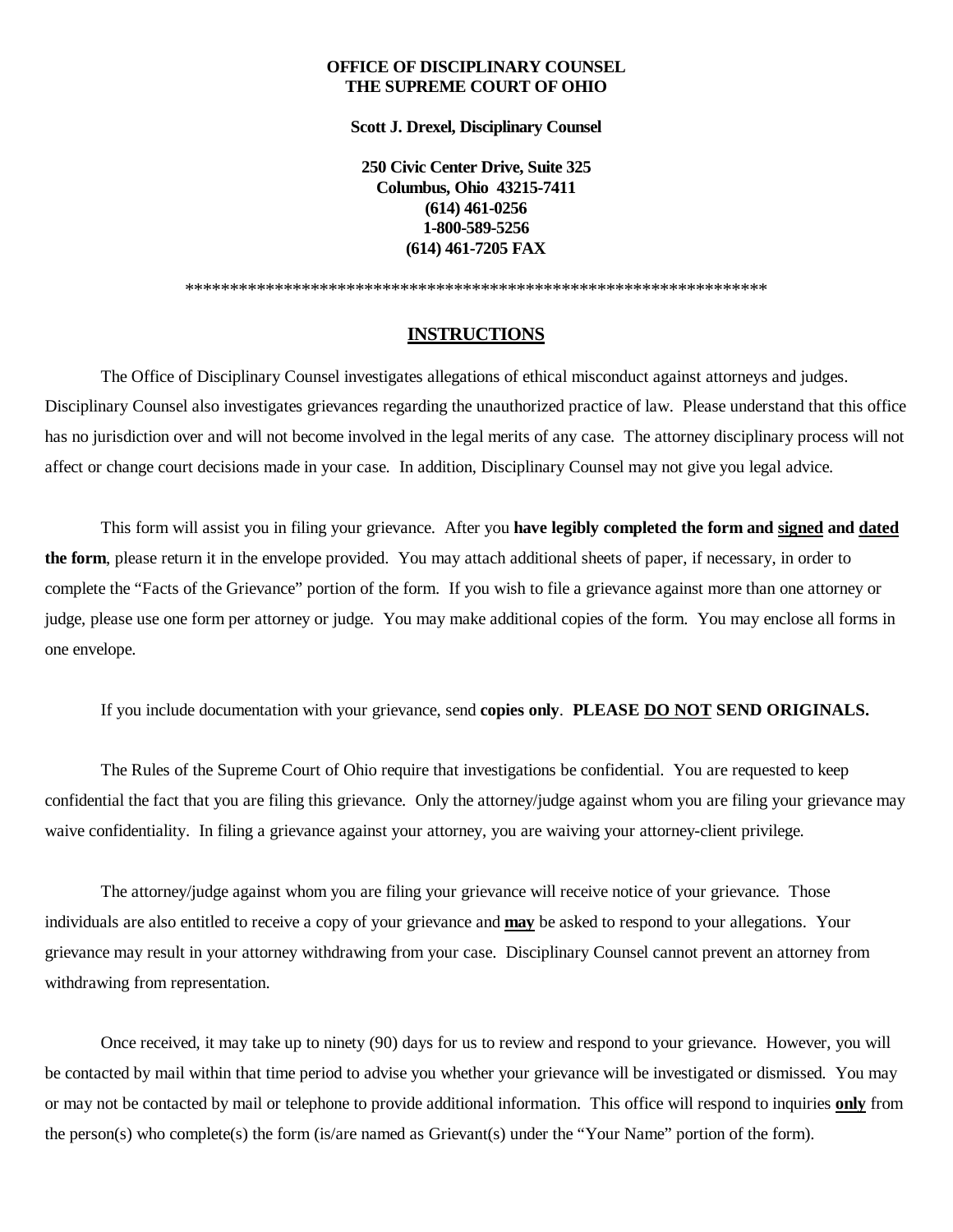### **OFFICE OF DISCIPLINARY COUNSEL THE SUPREME COURT OF OHIO**

**Scott J. Drexel, Disciplinary Counsel**

**250 Civic Center Drive, Suite 325 Columbus, Ohio 43215-7411 (614) 461-0256 1-800-589-5256 (614) 461-7205 FAX**

\*\*\*\*\*\*\*\*\*\*\*\*\*\*\*\*\*\*\*\*\*\*\*\*\*\*\*\*\*\*\*\*\*\*\*\*\*\*\*\*\*\*\*\*\*\*\*\*\*\*\*\*\*\*\*\*\*\*\*\*\*\*\*\*\*

# **INSTRUCTIONS**

The Office of Disciplinary Counsel investigates allegations of ethical misconduct against attorneys and judges. Disciplinary Counsel also investigates grievances regarding the unauthorized practice of law. Please understand that this office has no jurisdiction over and will not become involved in the legal merits of any case. The attorney disciplinary process will not affect or change court decisions made in your case. In addition, Disciplinary Counsel may not give you legal advice.

This form will assist you in filing your grievance. After you **have legibly completed the form and signed and dated the form**, please return it in the envelope provided. You may attach additional sheets of paper, if necessary, in order to complete the "Facts of the Grievance" portion of the form. If you wish to file a grievance against more than one attorney or judge, please use one form per attorney or judge. You may make additional copies of the form. You may enclose all forms in one envelope.

If you include documentation with your grievance, send **copies only**. **PLEASE DO NOT SEND ORIGINALS.**

The Rules of the Supreme Court of Ohio require that investigations be confidential. You are requested to keep confidential the fact that you are filing this grievance. Only the attorney/judge against whom you are filing your grievance may waive confidentiality. In filing a grievance against your attorney, you are waiving your attorney-client privilege.

The attorney/judge against whom you are filing your grievance will receive notice of your grievance. Those individuals are also entitled to receive a copy of your grievance and **may** be asked to respond to your allegations. Your grievance may result in your attorney withdrawing from your case. Disciplinary Counsel cannot prevent an attorney from withdrawing from representation.

Once received, it may take up to ninety (90) days for us to review and respond to your grievance. However, you will be contacted by mail within that time period to advise you whether your grievance will be investigated or dismissed. You may or may not be contacted by mail or telephone to provide additional information. This office will respond to inquiries **only** from the person(s) who complete(s) the form (is/are named as Grievant(s) under the "Your Name" portion of the form).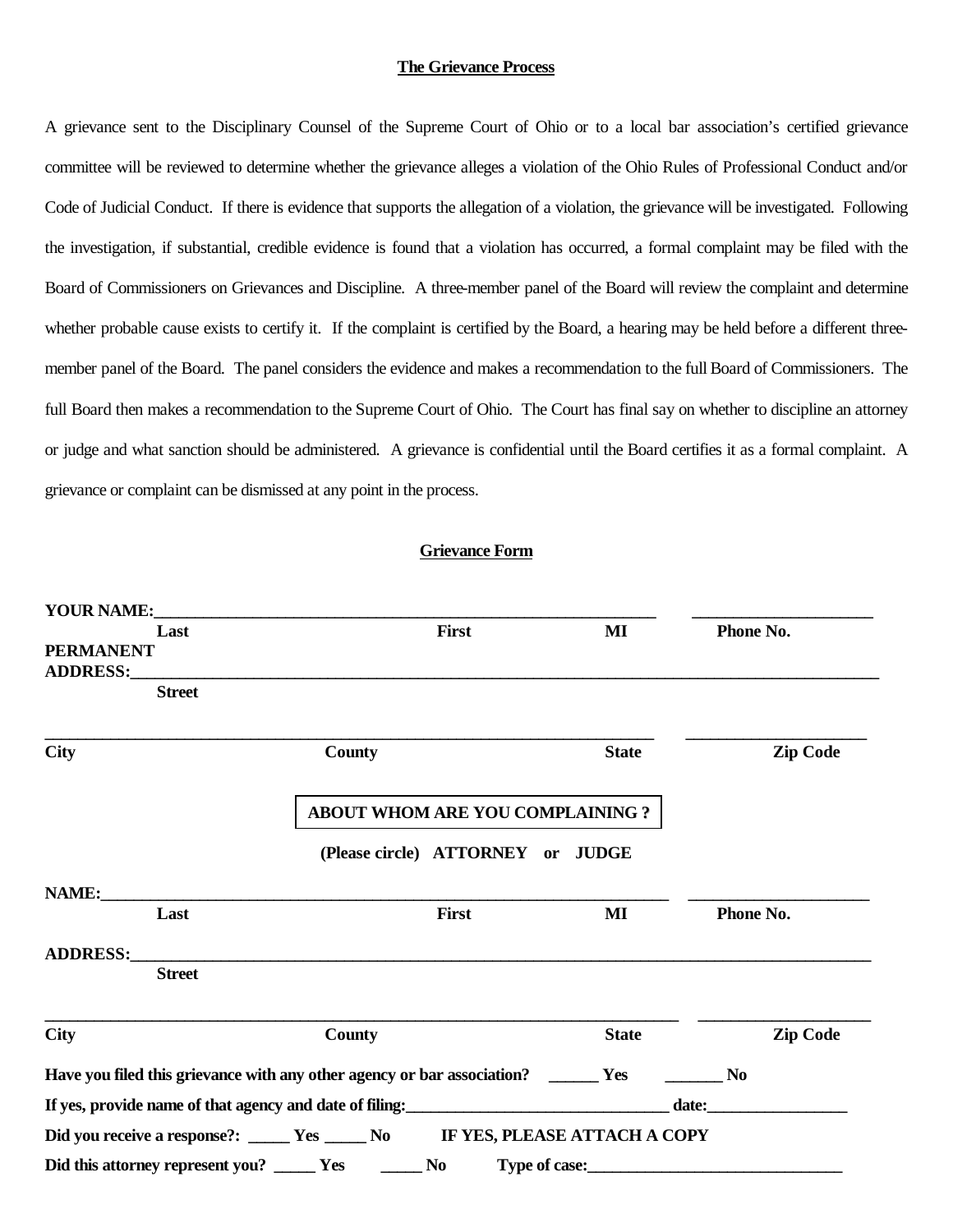#### **The Grievance Process**

A grievance sent to the Disciplinary Counsel of the Supreme Court of Ohio or to a local bar association's certified grievance committee will be reviewed to determine whether the grievance alleges a violation of the Ohio Rules of Professional Conduct and/or Code of Judicial Conduct. If there is evidence that supports the allegation of a violation, the grievance will be investigated. Following the investigation, if substantial, credible evidence is found that a violation has occurred, a formal complaint may be filed with the Board of Commissioners on Grievances and Discipline. A three-member panel of the Board will review the complaint and determine whether probable cause exists to certify it. If the complaint is certified by the Board, a hearing may be held before a different threemember panel of the Board. The panel considers the evidence and makes a recommendation to the full Board of Commissioners. The full Board then makes a recommendation to the Supreme Court of Ohio. The Court has final say on whether to discipline an attorney or judge and what sanction should be administered. A grievance is confidential until the Board certifies it as a formal complaint. A grievance or complaint can be dismissed at any point in the process.

## **Grievance Form**

| <b>YOUR NAME:</b> |                                        |                                                                                     |               |              |                 |
|-------------------|----------------------------------------|-------------------------------------------------------------------------------------|---------------|--------------|-----------------|
|                   | Last                                   | First                                                                               |               | MI           | Phone No.       |
| <b>PERMANENT</b>  |                                        |                                                                                     |               |              |                 |
|                   |                                        |                                                                                     |               |              |                 |
|                   | <b>Street</b>                          |                                                                                     |               |              |                 |
| <b>City</b>       |                                        | County                                                                              |               | <b>State</b> | <b>Zip Code</b> |
|                   | <b>ABOUT WHOM ARE YOU COMPLAINING?</b> |                                                                                     |               |              |                 |
|                   |                                        | (Please circle) ATTORNEY or JUDGE                                                   |               |              |                 |
|                   |                                        | NAME:                                                                               |               |              |                 |
|                   | Last                                   | First                                                                               |               | MI           | Phone No.       |
|                   |                                        | ADDRESS: ADDRESS:                                                                   |               |              |                 |
|                   | <b>Street</b>                          |                                                                                     |               |              |                 |
| <b>City</b>       |                                        | <b>County</b>                                                                       |               | <b>State</b> | <b>Zip Code</b> |
|                   |                                        | Have you filed this grievance with any other agency or bar association? _______ Yes |               |              | N <sub>0</sub>  |
|                   |                                        |                                                                                     |               |              |                 |
|                   |                                        | Did you receive a response?: _____ Yes _____ No IF YES, PLEASE ATTACH A COPY        |               |              |                 |
|                   |                                        | Did this attorney represent you? _______ Yes ________<br><b>No</b>                  | Type of case: |              |                 |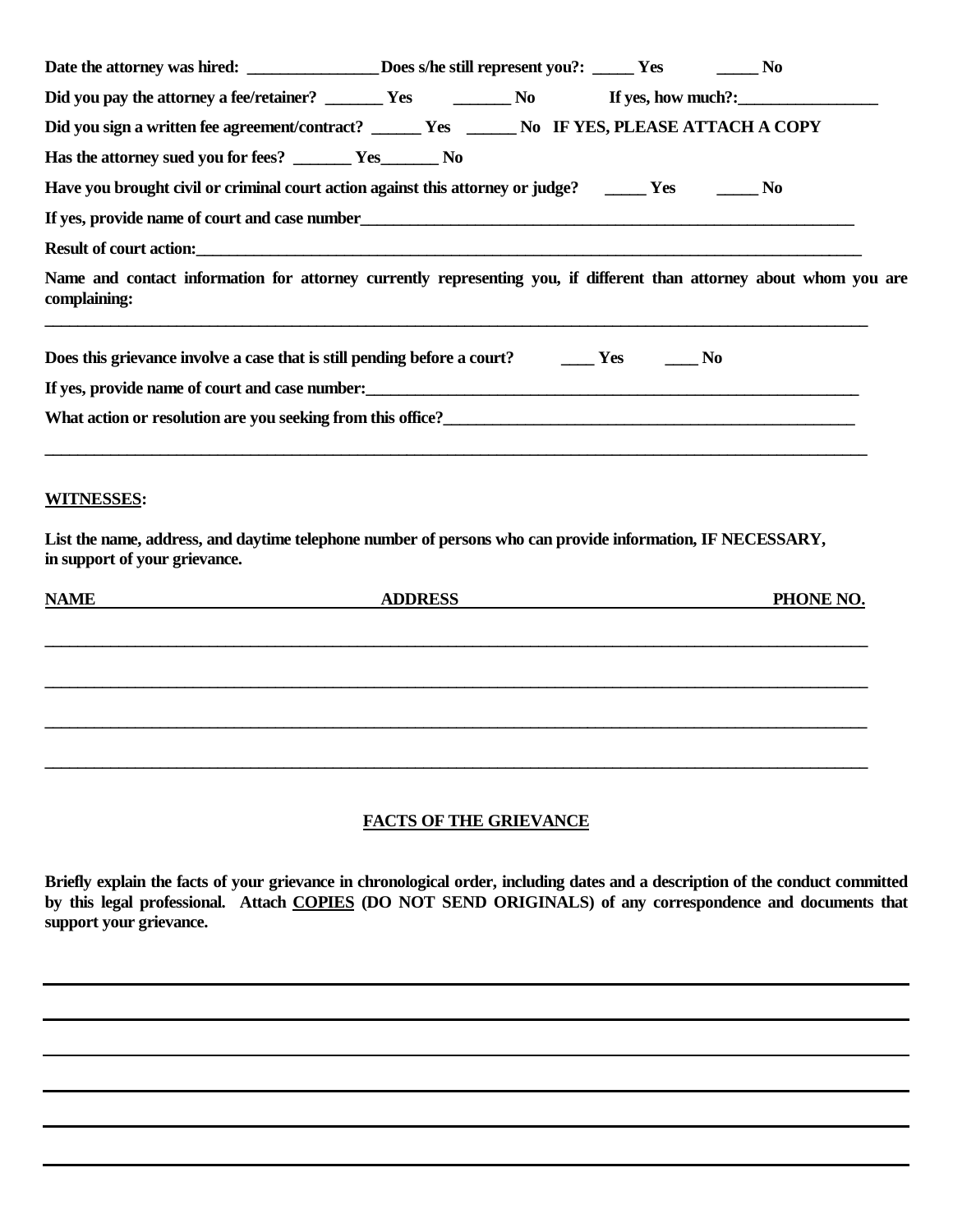| Date the attorney was hired: _________________Does s/he still represent you?: _____ Yes _________No                                         |                |  |           |
|---------------------------------------------------------------------------------------------------------------------------------------------|----------------|--|-----------|
|                                                                                                                                             |                |  |           |
| Did you sign a written fee agreement/contract? ______ Yes ______ No IF YES, PLEASE ATTACH A COPY                                            |                |  |           |
| Has the attorney sued you for fees? _______ Yes________ No                                                                                  |                |  |           |
| Have you brought civil or criminal court action against this attorney or judge? ________ Yes _________ No                                   |                |  |           |
| If yes, provide name of court and case number_                                                                                              |                |  |           |
| Result of court action: <u>contraction</u> contraction and the set of court action and the set of court action:                             |                |  |           |
| Name and contact information for attorney currently representing you, if different than attorney about whom you are<br>complaining:         |                |  |           |
| Does this grievance involve a case that is still pending before a court? The Mesingle Mo                                                    |                |  |           |
| If yes, provide name of court and case number:                                                                                              |                |  |           |
|                                                                                                                                             |                |  |           |
| <b>WITNESSES:</b>                                                                                                                           |                |  |           |
| List the name, address, and daytime telephone number of persons who can provide information, IF NECESSARY,<br>in support of your grievance. |                |  |           |
| <b>NAME</b>                                                                                                                                 | <b>ADDRESS</b> |  | PHONE NO. |
|                                                                                                                                             |                |  |           |
|                                                                                                                                             |                |  |           |
|                                                                                                                                             |                |  |           |

# **FACTS OF THE GRIEVANCE**

**\_\_\_\_\_\_\_\_\_\_\_\_\_\_\_\_\_\_\_\_\_\_\_\_\_\_\_\_\_\_\_\_\_\_\_\_\_\_\_\_\_\_\_\_\_\_\_\_\_\_\_\_\_\_\_\_\_\_\_\_\_\_\_\_\_\_\_\_\_\_\_\_\_\_\_\_\_\_\_\_\_\_\_\_\_\_\_\_\_\_\_\_\_\_\_\_\_\_\_\_**

**\_\_\_\_\_\_\_\_\_\_\_\_\_\_\_\_\_\_\_\_\_\_\_\_\_\_\_\_\_\_\_\_\_\_\_\_\_\_\_\_\_\_\_\_\_\_\_\_\_\_\_\_\_\_\_\_\_\_\_\_\_\_\_\_\_\_\_\_\_\_\_\_\_\_\_\_\_\_\_\_\_\_\_\_\_\_\_\_\_\_\_\_\_\_\_\_\_\_\_\_**

**Briefly explain the facts of your grievance in chronological order, including dates and a description of the conduct committed by this legal professional. Attach COPIES (DO NOT SEND ORIGINALS) of any correspondence and documents that support your grievance.**